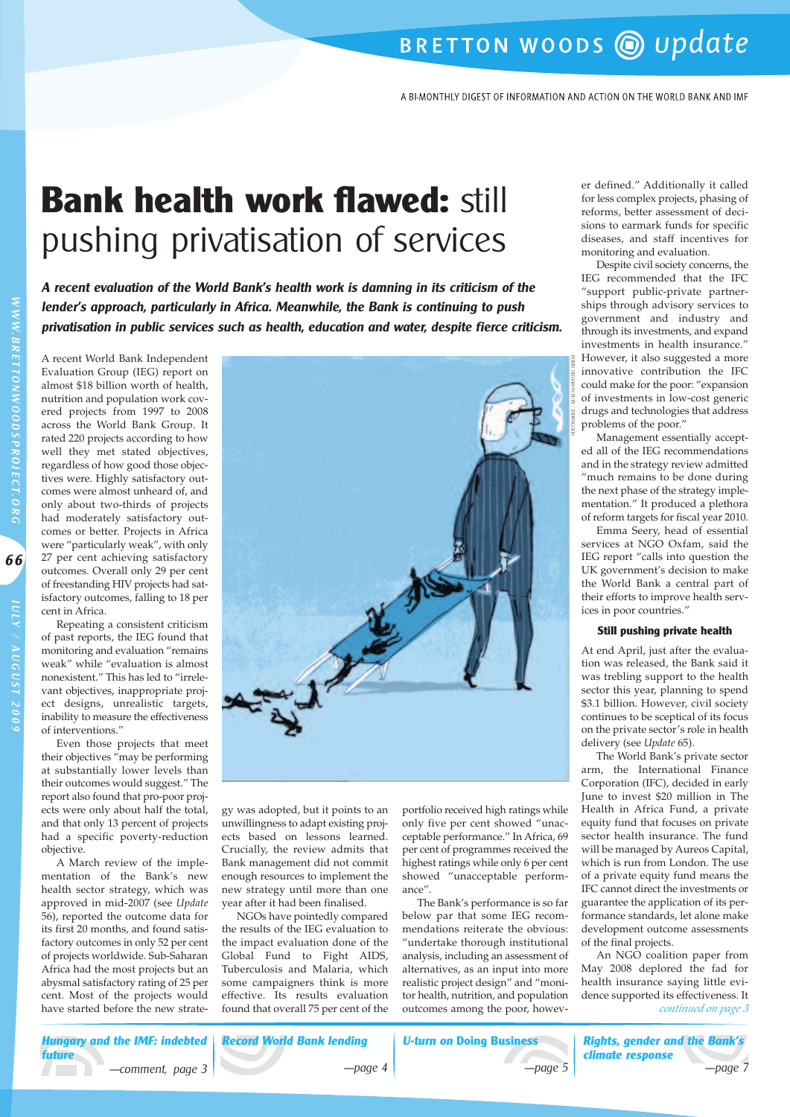# BRETTON WOODS @ update

A BI-MONTHLY DIGEST OF INFORMATION AND ACTION ON THE WORLD BANK AND IMF

# **Bank health work flawed:** still pushing privatisation of services

**A recent evaluation of the World Bank's health work is damning in its criticism of the lender's approach, particularly in Africa. Meanwhile, the Bank is continuing to push privatisation in public services such as health, education and water, despite fierce criticism.**

A recent World Bank Independent Evaluation Group (IEG) report on almost \$18 billion worth of health, nutrition and population work covered projects from 1997 to 2008 across the World Bank Group. It rated 220 projects according to how well they met stated objectives, regardless of how good those objectives were. Highly satisfactory outcomes were almost unheard of, and only about two-thirds of projects had moderately satisfactory outcomes or better. Projects in Africa were "particularly weak", with only 27 per cent achieving satisfactory outcomes. Overall only 29 per cent of freestanding HIV projects had satisfactory outcomes, falling to 18 per cent in Africa.

Repeating a consistent criticism of past reports, the IEG found that monitoring and evaluation "remains weak" while "evaluation is almost nonexistent." This has led to "irrelevant objectives, inappropriate project designs, unrealistic targets, inability to measure the effectiveness of interventions."

Even those projects that meet their objectives "may be performing at substantially lower levels than their outcomes would suggest." The report also found that pro-poor projects were only about half the total, and that only 13 percent of projects had a specific poverty-reduction objective.

A March review of the implementation of the Bank's new health sector strategy, which was approved in mid-2007 (see *Update* 56), reported the outcome data for its first 20 months, and found satisfactory outcomes in only 52 per cent of projects worldwide. Sub-Saharan Africa had the most projects but an abysmal satisfactory rating of 25 per cent. Most of the projects would have started before the new strate- *found that overall 75 per cent of the outcomes among the poor, howev- continued on page 3* 



gy was adopted, but it points to an unwillingness to adapt existing projects based on lessons learned. Crucially, the review admits that Bank management did not commit enough resources to implement the new strategy until more than one year after it had been finalised.

NGOs have pointedly compared the results of the IEG evaluation to the impact evaluation done of the Global Fund to Fight AIDS, Tuberculosis and Malaria, which some campaigners think is more effective. Its results evaluation portfolio received high ratings while only five per cent showed "unacceptable performance." In Africa, 69 per cent of programmes received the highest ratings while only 6 per cent showed "unacceptable performance".

The Bank's performance is so far below par that some IEG recommendations reiterate the obvious: "undertake thorough institutional analysis, including an assessment of alternatives, as an input into more realistic project design" and "monitor health, nutrition, and population outcomes among the poor, howev-

er defined." Additionally it called for less complex projects, phasing of reforms, better assessment of decisions to earmark funds for specific diseases, and staff incentives for monitoring and evaluation.

Despite civil society concerns, the IEG recommended that the IFC "support public-private partnerships through advisory services to government and industry and through its investments, and expand investments in health insurance." However, it also suggested a more innovative contribution the IFC could make for the poor: "expansion of investments in low-cost generic drugs and technologies that address problems of the poor."

Management essentially accepted all of the IEG recommendations and in the strategy review admitted "much remains to be done during the next phase of the strategy implementation." It produced a plethora of reform targets for fiscal year 2010.

Emma Seery, head of essential services at NGO Oxfam, said the IEG report "calls into question the UK government's decision to make the World Bank a central part of their efforts to improve health services in poor countries."

#### **Still pushing private health**

At end April, just after the evaluation was released, the Bank said it was trebling support to the health sector this year, planning to spend \$3.1 billion. However, civil society continues to be sceptical of its focus on the private sector's role in health delivery (see *Update* 65).

The World Bank's private sector arm, the International Finance Corporation (IFC), decided in early June to invest \$20 million in The Health in Africa Fund, a private equity fund that focuses on private sector health insurance. The fund will be managed by Aureos Capital, which is run from London. The use of a private equity fund means the IFC cannot direct the investments or guarantee the application of its performance standards, let alone make development outcome assessments of the final projects.

An NGO coalition paper from May 2008 deplored the fad for health insurance saying little evidence supported its effectiveness. It<br> *continued on page 3* 

**Hungary and the IMF: indebted Record World Bank lending future** ––comment, page 3 ––page 4  $\sqrt{2}$ 

**U-turn on Doing Business** ––page 5



W

**66**

J U LY

A UGUST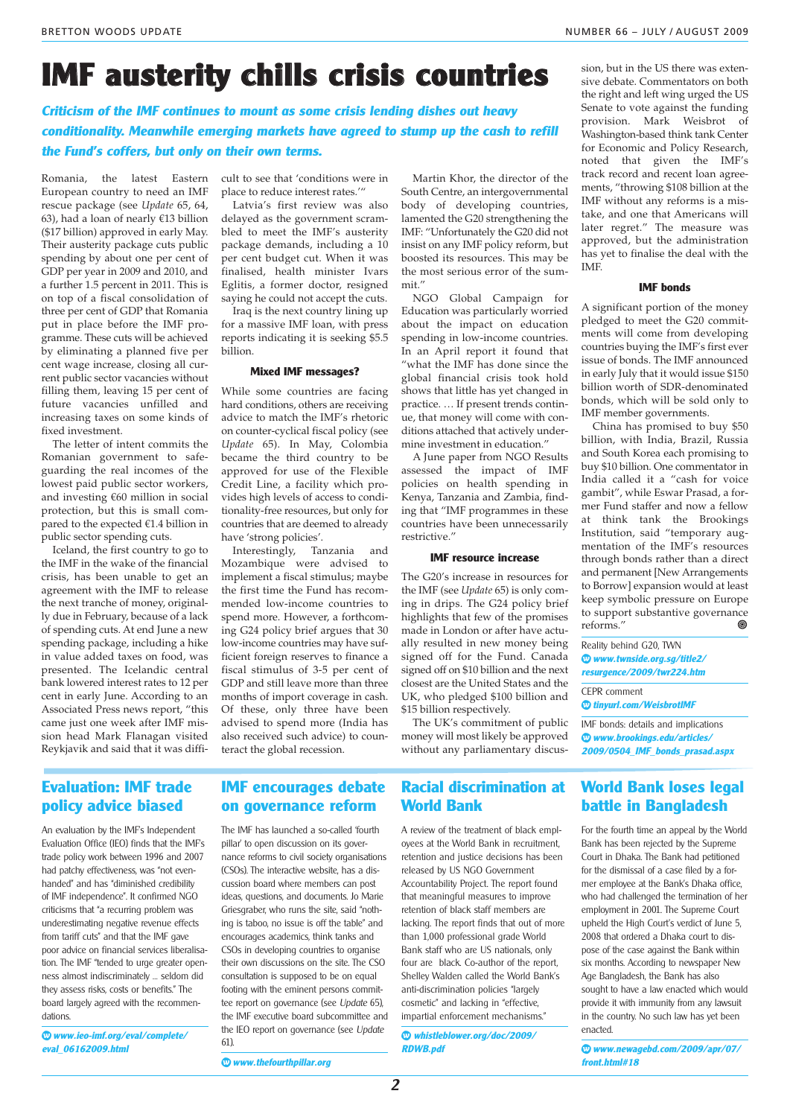## **IMF austerity chills crisis countries**

**Criticism of the IMF continues to mount as some crisis lending dishes out heavy conditionality. Meanwhile emerging markets have agreed to stump up the cash to refill the Fund's coffers, but only on their own terms.**

Romania, the latest Eastern European country to need an IMF rescue package (see *Update* 65, 64, 63), had a loan of nearly €13 billion (\$17 billion) approved in early May. Their austerity package cuts public spending by about one per cent of GDP per year in 2009 and 2010, and a further 1.5 percent in 2011. This is on top of a fiscal consolidation of three per cent of GDP that Romania put in place before the IMF programme. These cuts will be achieved by eliminating a planned five per cent wage increase, closing all current public sector vacancies without filling them, leaving 15 per cent of future vacancies unfilled and increasing taxes on some kinds of fixed investment.

The letter of intent commits the Romanian government to safeguarding the real incomes of the lowest paid public sector workers, and investing €60 million in social protection, but this is small compared to the expected €1.4 billion in public sector spending cuts.

Iceland, the first country to go to the IMF in the wake of the financial crisis, has been unable to get an agreement with the IMF to release the next tranche of money, originally due in February, because of a lack of spending cuts. At end June a new spending package, including a hike in value added taxes on food, was presented. The Icelandic central bank lowered interest rates to 12 per cent in early June. According to an Associated Press news report, "this came just one week after IMF mission head Mark Flanagan visited Reykjavik and said that it was difficult to see that 'conditions were in place to reduce interest rates.'"

Latvia's first review was also delayed as the government scrambled to meet the IMF's austerity package demands, including a 10 per cent budget cut. When it was finalised, health minister Ivars Eglitis, a former doctor, resigned saying he could not accept the cuts.

Iraq is the next country lining up for a massive IMF loan, with press reports indicating it is seeking \$5.5 billion.

#### **Mixed IMF messages?**

While some countries are facing hard conditions, others are receiving advice to match the IMF's rhetoric on counter-cyclical fiscal policy (see *Update* 65). In May, Colombia became the third country to be approved for use of the Flexible Credit Line, a facility which provides high levels of access to conditionality-free resources, but only for countries that are deemed to already have 'strong policies'.

Interestingly, Tanzania and Mozambique were advised to implement a fiscal stimulus; maybe the first time the Fund has recommended low-income countries to spend more. However, a forthcoming G24 policy brief argues that 30 low-income countries may have sufficient foreign reserves to finance a fiscal stimulus of 3-5 per cent of GDP and still leave more than three months of import coverage in cash. Of these, only three have been advised to spend more (India has also received such advice) to counteract the global recession.

Martin Khor, the director of the South Centre, an intergovernmental body of developing countries, lamented the G20 strengthening the IMF: "Unfortunately the G20 did not insist on any IMF policy reform, but boosted its resources. This may be the most serious error of the summit."

NGO Global Campaign for Education was particularly worried about the impact on education spending in low-income countries. In an April report it found that "what the IMF has done since the global financial crisis took hold shows that little has yet changed in practice. … If present trends continue, that money will come with conditions attached that actively undermine investment in education."

A June paper from NGO Results assessed the impact of IMF policies on health spending in Kenya, Tanzania and Zambia, finding that "IMF programmes in these countries have been unnecessarily restrictive."

#### **IMF resource increase**

The G20's increase in resources for the IMF (see *Update* 65) is only coming in drips. The G24 policy brief highlights that few of the promises made in London or after have actually resulted in new money being signed off for the Fund. Canada signed off on \$10 billion and the next closest are the United States and the UK, who pledged \$100 billion and \$15 billion respectively.

The UK's commitment of public money will most likely be approved without any parliamentary discus-

## **Evaluation: IMF trade policy advice biased**

An evaluation by the IMF's Independent Evaluation Office (IEO) finds that the IMF's trade policy work between 1996 and 2007 had patchy effectiveness, was "not evenhanded" and has "diminished credibility of IMF independence". It confirmed NGO criticisms that "a recurring problem was underestimating negative revenue effects from tariff cuts" and that the IMF gave poor advice on financial services liberalisation. The IMF "tended to urge greater openness almost indiscriminately … seldom did they assess risks, costs or benefits." The board largely agreed with the recommendations.

**◊ www.ieo-imf.org/eval/complete/ eval\_06162009.html**

### **IMF encourages debate on governance reform**

The IMF has launched a so-called 'fourth pillar' to open discussion on its governance reforms to civil society organisations (CSOs). The interactive website, has a discussion board where members can post ideas, questions, and documents. Jo Marie Griesgraber, who runs the site, said "nothing is taboo, no issue is off the table" and encourages academics, think tanks and CSOs in developing countries to organise their own discussions on the site. The CSO consultation is supposed to be on equal footing with the eminent persons committee report on governance (see Undate 65) the IMF executive board subcommittee and the IEO report on governance (see Update 61).

### **Racial discrimination at World Bank**

A review of the treatment of black employees at the World Bank in recruitment, retention and justice decisions has been released by US NGO Government Accountability Project. The report found that meaningful measures to improve retention of black staff members are lacking. The report finds that out of more than 1,000 professional grade World Bank staff who are US nationals, only four are black. Co-author of the report, Shelley Walden called the World Bank's anti-discrimination policies "largely cosmetic" and lacking in "effective, impartial enforcement mechanisms."

**◊ whistleblower.org/doc/2009/ RDWB.pdf**

sion, but in the US there was extensive debate. Commentators on both the right and left wing urged the US Senate to vote against the funding provision. Mark Weisbrot of Washington-based think tank Center for Economic and Policy Research, noted that given the IMF's track record and recent loan agreements, "throwing \$108 billion at the IMF without any reforms is a mistake, and one that Americans will later regret." The measure was approved, but the administration has yet to finalise the deal with the IMF.

#### **IMF bonds**

A significant portion of the money pledged to meet the G20 commitments will come from developing countries buying the IMF's first ever issue of bonds. The IMF announced in early July that it would issue \$150 billion worth of SDR-denominated bonds, which will be sold only to IMF member governments.

China has promised to buy \$50 billion, with India, Brazil, Russia and South Korea each promising to buy \$10 billion. One commentator in India called it a "cash for voice gambit", while Eswar Prasad, a former Fund staffer and now a fellow at think tank the Brookings Institution, said "temporary augmentation of the IMF's resources through bonds rather than a direct and permanent [New Arrangements to Borrow] expansion would at least keep symbolic pressure on Europe to support substantive governance<br>reforms  $\frac{1}{\sqrt{2}}$ reforms."

Reality behind G20, TWN **◊ www.twnside.org.sg/title2/ resurgence/2009/twr224.htm**

CEPR comment **◊ tinyurl.com/WeisbrotIMF**

IMF bonds: details and implications **◊ www.brookings.edu/articles/ 2009/0504\_IMF\_bonds\_prasad.aspx**

## **World Bank loses legal battle in Bangladesh**

For the fourth time an appeal by the World Bank has been rejected by the Supreme Court in Dhaka. The Bank had petitioned for the dismissal of a case filed by a former employee at the Bank's Dhaka office, who had challenged the termination of her employment in 2001. The Supreme Court upheld the High Court's verdict of June 5, 2008 that ordered a Dhaka court to dispose of the case against the Bank within six months. According to newspaper New Age Bangladesh, the Bank has also sought to have a law enacted which would provide it with immunity from any lawsuit in the country. No such law has yet been enacted.

**◊ www.newagebd.com/2009/apr/07/ front.html#18**

**◊ www.thefourthpillar.org**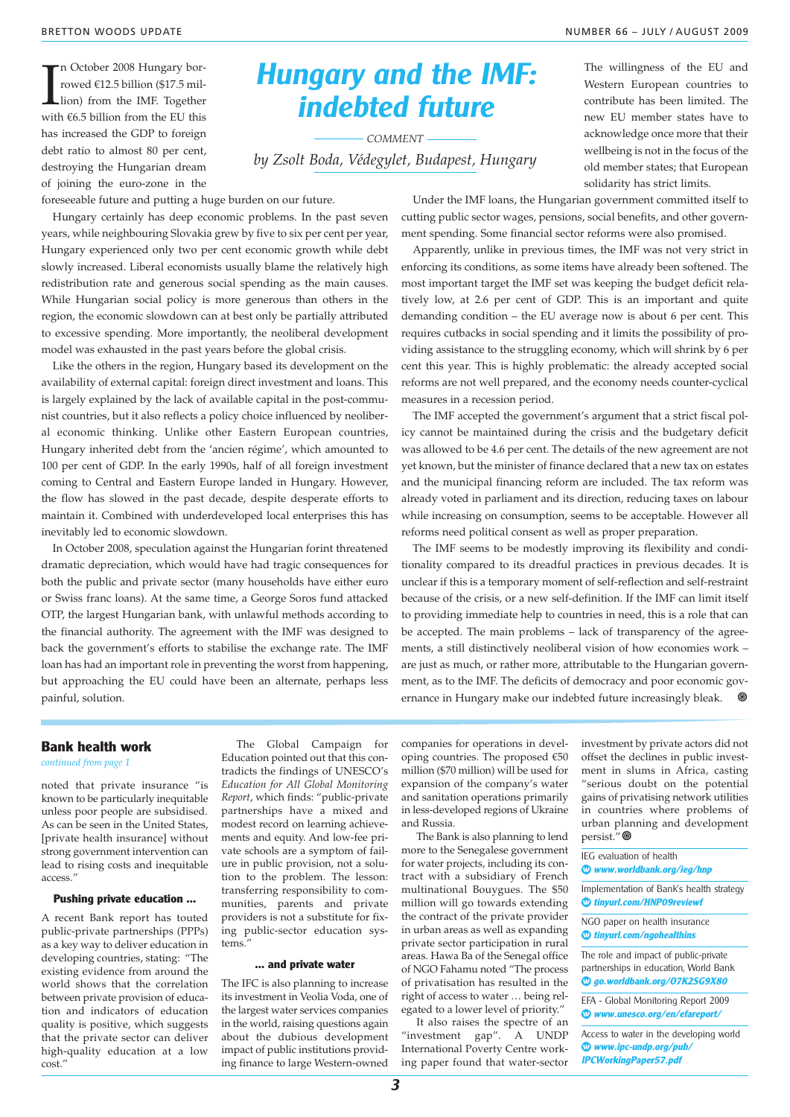The October 2008 Hungary borrowed €12.5 billion (\$17.5 million) from the IMF. Together with €6.5 billion from the EU this n October 2008 Hungary borrowed €12.5 billion (\$17.5 million) from the IMF. Together has increased the GDP to foreign debt ratio to almost 80 per cent, destroying the Hungarian dream of joining the euro-zone in the foreseeable future and putting a huge burden on our future.

Hungary experienced only two per cent economic growth while debt slowly increased. Liberal economists usually blame the relatively high redistribution rate and generous social spending as the main causes. While Hungarian social policy is more generous than others in the region, the economic slowdown can at best only be partially attributed to excessive spending. More importantly, the neoliberal development

Like the others in the region, Hungary based its development on the availability of external capital: foreign direct investment and loans. This is largely explained by the lack of available capital in the post-communist countries, but it also reflects a policy choice influenced by neoliberal economic thinking. Unlike other Eastern European countries, Hungary inherited debt from the 'ancien régime', which amounted to 100 per cent of GDP. In the early 1990s, half of all foreign investment coming to Central and Eastern Europe landed in Hungary. However, the flow has slowed in the past decade, despite desperate efforts to maintain it. Combined with underdeveloped local enterprises this has

In October 2008, speculation against the Hungarian forint threatened dramatic depreciation, which would have had tragic consequences for both the public and private sector (many households have either euro or Swiss franc loans). At the same time, a George Soros fund attacked OTP, the largest Hungarian bank, with unlawful methods according to the financial authority. The agreement with the IMF was designed to back the government's efforts to stabilise the exchange rate. The IMF loan has had an important role in preventing the worst from happening, but approaching the EU could have been an alternate, perhaps less

model was exhausted in the past years before the global crisis.

## **Hungary and the IMF: indebted future**

*COMMENT by Zsolt Boda, Védegylet, Budapest, Hungary* The willingness of the EU and Western European countries to contribute has been limited. The new EU member states have to acknowledge once more that their wellbeing is not in the focus of the old member states; that European solidarity has strict limits.

Hungary certainly has deep economic problems. In the past seven years, while neighbouring Slovakia grew by five to six per cent per year, Under the IMF loans, the Hungarian government committed itself to cutting public sector wages, pensions, social benefits, and other government spending. Some financial sector reforms were also promised.

> Apparently, unlike in previous times, the IMF was not very strict in enforcing its conditions, as some items have already been softened. The most important target the IMF set was keeping the budget deficit relatively low, at 2.6 per cent of GDP. This is an important and quite demanding condition – the EU average now is about 6 per cent. This requires cutbacks in social spending and it limits the possibility of providing assistance to the struggling economy, which will shrink by 6 per cent this year. This is highly problematic: the already accepted social reforms are not well prepared, and the economy needs counter-cyclical measures in a recession period.

> The IMF accepted the government's argument that a strict fiscal policy cannot be maintained during the crisis and the budgetary deficit was allowed to be 4.6 per cent. The details of the new agreement are not yet known, but the minister of finance declared that a new tax on estates and the municipal financing reform are included. The tax reform was already voted in parliament and its direction, reducing taxes on labour while increasing on consumption, seems to be acceptable. However all reforms need political consent as well as proper preparation.

> The IMF seems to be modestly improving its flexibility and conditionality compared to its dreadful practices in previous decades. It is unclear if this is a temporary moment of self-reflection and self-restraint because of the crisis, or a new self-definition. If the IMF can limit itself to providing immediate help to countries in need, this is a role that can be accepted. The main problems – lack of transparency of the agreements, a still distinctively neoliberal vision of how economies work – are just as much, or rather more, attributable to the Hungarian government, as to the IMF. The deficits of democracy and poor economic governance in Hungary make our indebted future increasingly bleak.  $\bullet$

#### **Bank health work**

*continued from page 1*

painful, solution.

noted that private insurance "is known to be particularly inequitable unless poor people are subsidised. As can be seen in the United States, [private health insurance] without strong government intervention can lead to rising costs and inequitable access."

inevitably led to economic slowdown.

#### **Pushing private education …**

A recent Bank report has touted public-private partnerships (PPPs) as a key way to deliver education in developing countries, stating: "The existing evidence from around the world shows that the correlation between private provision of education and indicators of education quality is positive, which suggests that the private sector can deliver high-quality education at a low cost."

The Global Campaign for Education pointed out that this contradicts the findings of UNESCO's *Education for All Global Monitoring Report*, which finds: "public-private partnerships have a mixed and modest record on learning achievements and equity. And low-fee private schools are a symptom of failure in public provision, not a solution to the problem. The lesson: transferring responsibility to communities, parents and private providers is not a substitute for fixing public-sector education systems."

#### **… and private water**

The IFC is also planning to increase its investment in Veolia Voda, one of the largest water services companies in the world, raising questions again about the dubious development impact of public institutions providing finance to large Western-owned companies for operations in developing countries. The proposed €50 million (\$70 million) will be used for expansion of the company's water and sanitation operations primarily in less-developed regions of Ukraine and Russia.

The Bank is also planning to lend more to the Senegalese government for water projects, including its contract with a subsidiary of French multinational Bouygues. The \$50 million will go towards extending the contract of the private provider in urban areas as well as expanding private sector participation in rural areas. Hawa Ba of the Senegal office of NGO Fahamu noted "The process of privatisation has resulted in the right of access to water … being relegated to a lower level of priority."

It also raises the spectre of an "investment gap". A UNDP International Poverty Centre working paper found that water-sector investment by private actors did not offset the declines in public investment in slums in Africa, casting "serious doubt on the potential gains of privatising network utilities in countries where problems of urban planning and development persist."

- IEG evaluation of health
- **◊ www.worldbank.org/ieg/hnp**

Implementation of Bank's health strategy **◊ tinyurl.com/HNP09reviewf**

NGO paper on health insurance **◊ tinyurl.com/ngohealthins**

The role and impact of public-private partnerships in education, World Bank **◊ go.worldbank.org/O7K2SG9X80**

EFA - Global Monitoring Report 2009 **◊ www.unesco.org/en/efareport/**

Access to water in the developing world **◊ www.ipc-undp.org/pub/ IPCWorkingPaper57.pdf**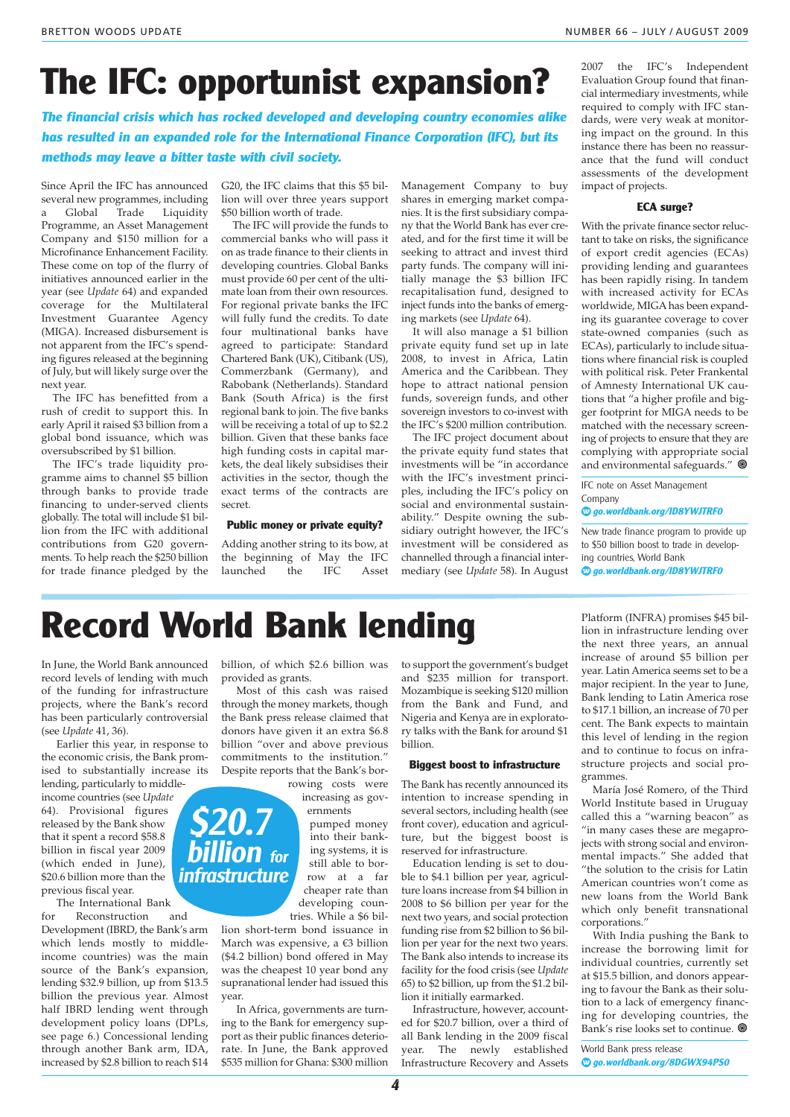# **The IFC: opportunist expansion?**

**The financial crisis which has rocked developed and developing country economies alike has resulted in an expanded role for the International Finance Corporation (IFC), but its methods may leave a bitter taste with civil society.**

Since April the IFC has announced several new programmes, including<br>a Global Trade Liquidity Liquidity Programme, an Asset Management Company and \$150 million for a Microfinance Enhancement Facility. These come on top of the flurry of initiatives announced earlier in the year (see *Update* 64) and expanded coverage for the Multilateral Investment Guarantee Agency (MIGA). Increased disbursement is not apparent from the IFC's spending figures released at the beginning of July, but will likely surge over the next year.

The IFC has benefitted from a rush of credit to support this. In early April it raised \$3 billion from a global bond issuance, which was oversubscribed by \$1 billion.

The IFC's trade liquidity programme aims to channel \$5 billion through banks to provide trade financing to under-served clients globally. The total will include \$1 billion from the IFC with additional contributions from G20 governments. To help reach the \$250 billion for trade finance pledged by the

G20, the IFC claims that this \$5 billion will over three years support \$50 billion worth of trade.

The IFC will provide the funds to commercial banks who will pass it on as trade finance to their clients in developing countries. Global Banks must provide 60 per cent of the ultimate loan from their own resources. For regional private banks the IFC will fully fund the credits. To date four multinational banks have agreed to participate: Standard Chartered Bank (UK), Citibank (US), Commerzbank (Germany), and Rabobank (Netherlands). Standard Bank (South Africa) is the first regional bank to join. The five banks will be receiving a total of up to \$2.2 billion. Given that these banks face high funding costs in capital markets, the deal likely subsidises their activities in the sector, though the exact terms of the contracts are secret.

#### **Public money or private equity?**

Adding another string to its bow, at the beginning of May the IFC<br>launched the IFC Asset  $l$ aunched the

Management Company to buy shares in emerging market companies. It is the first subsidiary company that the World Bank has ever created, and for the first time it will be seeking to attract and invest third party funds. The company will initially manage the \$3 billion IFC recapitalisation fund, designed to inject funds into the banks of emerging markets (see *Update* 64).

It will also manage a \$1 billion private equity fund set up in late 2008, to invest in Africa, Latin America and the Caribbean. They hope to attract national pension funds, sovereign funds, and other sovereign investors to co-invest with the IFC's \$200 million contribution.

The IFC project document about the private equity fund states that investments will be "in accordance with the IFC's investment principles, including the IFC's policy on social and environmental sustainability." Despite owning the subsidiary outright however, the IFC's investment will be considered as channelled through a financial intermediary (see *Update* 58). In August

2007 the IFC's Independent Evaluation Group found that financial intermediary investments, while required to comply with IFC standards, were very weak at monitoring impact on the ground. In this instance there has been no reassurance that the fund will conduct assessments of the development impact of projects.

#### **ECA surge?**

With the private finance sector reluctant to take on risks, the significance of export credit agencies (ECAs) providing lending and guarantees has been rapidly rising. In tandem with increased activity for ECAs worldwide, MIGA has been expanding its guarantee coverage to cover state-owned companies (such as ECAs), particularly to include situations where financial risk is coupled with political risk. Peter Frankental of Amnesty International UK cautions that "a higher profile and bigger footprint for MIGA needs to be matched with the necessary screening of projects to ensure that they are complying with appropriate social and environmental safeguards."  $\circledast$ 

IFC note on Asset Management Company

**◊ go.worldbank.org/ID8YWJTRF0**

New trade finance program to provide up to \$50 billion boost to trade in developing countries, World Bank

**◊ go.worldbank.org/ID8YWJTRF0**

# **Record World Bank lending**

In June, the World Bank announced record levels of lending with much of the funding for infrastructure projects, where the Bank's record has been particularly controversial (see *Update* 41, 36).

Earlier this year, in response to the economic crisis, the Bank promised to substantially increase its lending, particularly to middle-

income countries (see *Update* 64). Provisional figures released by the Bank show that it spent a record \$58.8 billion in fiscal year 2009 (which ended in June), \$20.6 billion more than the previous fiscal year.

The International Bank

for Reconstruction and Development (IBRD, the Bank's arm which lends mostly to middleincome countries) was the main source of the Bank's expansion, lending \$32.9 billion, up from \$13.5 billion the previous year. Almost half IBRD lending went through development policy loans (DPLs, see page 6.) Concessional lending through another Bank arm, IDA, increased by \$2.8 billion to reach \$14

billion, of which \$2.6 billion was provided as grants.

Most of this cash was raised through the money markets, though the Bank press release claimed that donors have given it an extra \$6.8 billion "over and above previous commitments to the institution." Despite reports that the Bank's bor-

rowing costs were increasing as gov-

ernments pumped money into their banking systems, it is still able to borrow at a far cheaper rate than developing countries. While a \$6 bil-

lion short-term bond issuance in March was expensive, a €3 billion (\$4.2 billion) bond offered in May was the cheapest 10 year bond any supranational lender had issued this year.

In Africa, governments are turning to the Bank for emergency support as their public finances deteriorate. In June, the Bank approved \$535 million for Ghana: \$300 million to support the government's budget and \$235 million for transport. Mozambique is seeking \$120 million from the Bank and Fund, and Nigeria and Kenya are in exploratory talks with the Bank for around \$1 billion.

#### **Biggest boost to infrastructure**

The Bank has recently announced its intention to increase spending in several sectors, including health (see front cover), education and agriculture, but the biggest boost is reserved for infrastructure.

Education lending is set to double to \$4.1 billion per year, agriculture loans increase from \$4 billion in 2008 to \$6 billion per year for the next two years, and social protection funding rise from \$2 billion to \$6 billion per year for the next two years. The Bank also intends to increase its facility for the food crisis (see *Update* 65) to \$2 billion, up from the \$1.2 billion it initially earmarked.

Infrastructure, however, accounted for \$20.7 billion, over a third of all Bank lending in the 2009 fiscal year. The newly established Infrastructure Recovery and Assets

Platform (INFRA) promises \$45 billion in infrastructure lending over the next three years, an annual increase of around \$5 billion per year. Latin America seems set to be a major recipient. In the year to June, Bank lending to Latin America rose to \$17.1 billion, an increase of 70 per cent. The Bank expects to maintain this level of lending in the region and to continue to focus on infrastructure projects and social programmes.

María José Romero, of the Third World Institute based in Uruguay called this a "warning beacon" as "in many cases these are megaprojects with strong social and environmental impacts." She added that "the solution to the crisis for Latin American countries won't come as new loans from the World Bank which only benefit transnational corporations."

With India pushing the Bank to increase the borrowing limit for individual countries, currently set at \$15.5 billion, and donors appearing to favour the Bank as their solution to a lack of emergency financing for developing countries, the Bank's rise looks set to continue.

World Bank press release **◊ go.worldbank.org/8DGWX94PS0**



**4**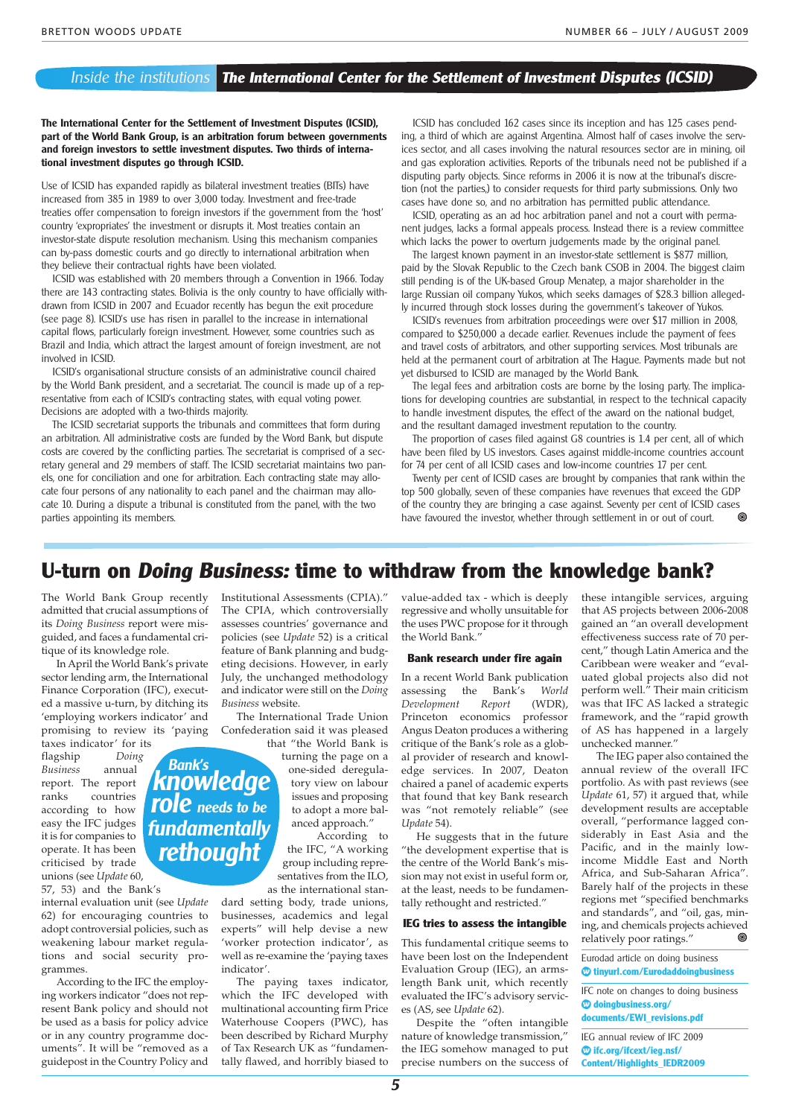#### Inside the institutions **The International Center for the Settlement of Investment Disputes (ICSID)**

**The International Center for the Settlement of Investment Disputes (ICSID), part of the World Bank Group, is an arbitration forum between governments and foreign investors to settle investment disputes. Two thirds of international investment disputes go through ICSID.**

Use of ICSID has expanded rapidly as bilateral investment treaties (BITs) have increased from 385 in 1989 to over 3,000 today. Investment and free-trade treaties offer compensation to foreign investors if the government from the 'host' country 'expropriates' the investment or disrupts it. Most treaties contain an investor-state dispute resolution mechanism. Using this mechanism companies can by-pass domestic courts and go directly to international arbitration when they believe their contractual rights have been violated.

ICSID was established with 20 members through a Convention in 1966. Today there are 143 contracting states. Bolivia is the only country to have officially withdrawn from ICSID in 2007 and Ecuador recently has begun the exit procedure (see page 8). ICSID's use has risen in parallel to the increase in international capital flows, particularly foreign investment. However, some countries such as Brazil and India, which attract the largest amount of foreign investment, are not involved in ICSID.

ICSID's organisational structure consists of an administrative council chaired by the World Bank president, and a secretariat. The council is made up of a representative from each of ICSID's contracting states, with equal voting power. Decisions are adopted with a two-thirds majority.

The ICSID secretariat supports the tribunals and committees that form during an arbitration. All administrative costs are funded by the Word Bank, but dispute costs are covered by the conflicting parties. The secretariat is comprised of a secretary general and 29 members of staff. The ICSID secretariat maintains two panels, one for conciliation and one for arbitration. Each contracting state may allocate four persons of any nationality to each panel and the chairman may allocate 10. During a dispute a tribunal is constituted from the panel, with the two parties appointing its members.

ICSID has concluded 162 cases since its inception and has 125 cases pending, a third of which are against Argentina. Almost half of cases involve the services sector, and all cases involving the natural resources sector are in mining, oil and gas exploration activities. Reports of the tribunals need not be published if a disputing party objects. Since reforms in 2006 it is now at the tribunal's discretion (not the parties,) to consider requests for third party submissions. Only two cases have done so, and no arbitration has permitted public attendance.

ICSID, operating as an ad hoc arbitration panel and not a court with permanent judges, lacks a formal appeals process. Instead there is a review committee which lacks the power to overturn judgements made by the original panel.

The largest known payment in an investor-state settlement is \$877 million, paid by the Slovak Republic to the Czech bank CSOB in 2004. The biggest claim still pending is of the UK-based Group Menatep, a major shareholder in the large Russian oil company Yukos, which seeks damages of \$28.3 billion allegedly incurred through stock losses during the government's takeover of Yukos.

ICSID's revenues from arbitration proceedings were over \$17 million in 2008, compared to \$250,000 a decade earlier. Revenues include the payment of fees and travel costs of arbitrators, and other supporting services. Most tribunals are held at the permanent court of arbitration at The Hague. Payments made but not yet disbursed to ICSID are managed by the World Bank.

The legal fees and arbitration costs are borne by the losing party. The implications for developing countries are substantial, in respect to the technical capacity to handle investment disputes, the effect of the award on the national budget, and the resultant damaged investment reputation to the country.

The proportion of cases filed against G8 countries is 1.4 per cent, all of which have been filed by US investors. Cases against middle-income countries account for 74 per cent of all ICSID cases and low-income countries 17 per cent.

Twenty per cent of ICSID cases are brought by companies that rank within the top 500 globally, seven of these companies have revenues that exceed the GDP of the country they are bringing a case against. Seventy per cent of ICSID cases have favoured the investor, whether through settlement in or out of court.

## **U-turn on Doing Business: time to withdraw from the knowledge bank?**

The World Bank Group recently admitted that crucial assumptions of its *Doing Business* report were misguided, and faces a fundamental critique of its knowledge role.

In April the World Bank's private sector lending arm, the International Finance Corporation (IFC), executed a massive u-turn, by ditching its 'employing workers indicator' and promising to review its 'paying

taxes indicator' for its<br>flagship Doing flagship *Doing Business* annual report. The report ranks countries according to how easy the IFC judges it is for companies to operate. It has been criticised by trade unions (see *Update* 60,

57, 53) and the Bank's

internal evaluation unit (see *Update* 62) for encouraging countries to adopt controversial policies, such as weakening labour market regulations and social security programmes.

According to the IFC the employing workers indicator "does not represent Bank policy and should not be used as a basis for policy advice or in any country programme documents". It will be "removed as a guidepost in the Country Policy and

Institutional Assessments (CPIA)" The CPIA, which controversially assesses countries' governance and policies (see *Update* 52) is a critical feature of Bank planning and budgeting decisions. However, in early July, the unchanged methodology and indicator were still on the *Doing Business* website.

The International Trade Union Confederation said it was pleased that "the World Bank is

> turning the page on a one-sided deregulatory view on labour issues and proposing to adopt a more balanced approach."

According to the IFC, "A working group including representatives from the ILO, as the international stan-

dard setting body, trade unions, businesses, academics and legal experts" will help devise a new 'worker protection indicator', as well as re-examine the 'paying taxes indicator'.

The paying taxes indicator, which the IFC developed with multinational accounting firm Price Waterhouse Coopers (PWC), has been described by Richard Murphy of Tax Research UK as "fundamentally flawed, and horribly biased to value-added tax - which is deeply regressive and wholly unsuitable for the uses PWC propose for it through the World Bank."

#### **Bank research under fire again**

In a recent World Bank publication assessing the Bank's *World*<br>Development Report (WDR),  $D$ *evelopment* Princeton economics professor Angus Deaton produces a withering critique of the Bank's role as a global provider of research and knowledge services. In 2007, Deaton chaired a panel of academic experts that found that key Bank research was "not remotely reliable" (see *Update* 54).

He suggests that in the future "the development expertise that is the centre of the World Bank's mission may not exist in useful form or, at the least, needs to be fundamentally rethought and restricted."

#### **IEG tries to assess the intangible**

This fundamental critique seems to have been lost on the Independent Evaluation Group (IEG), an armslength Bank unit, which recently evaluated the IFC's advisory services (AS, see *Update* 62).

Despite the "often intangible nature of knowledge transmission," the IEG somehow managed to put precise numbers on the success of

**5**

these intangible services, arguing that AS projects between 2006-2008 gained an "an overall development effectiveness success rate of 70 percent," though Latin America and the Caribbean were weaker and "evaluated global projects also did not perform well." Their main criticism was that IFC AS lacked a strategic framework, and the "rapid growth of AS has happened in a largely unchecked manner."

The IEG paper also contained the annual review of the overall IFC portfolio. As with past reviews (see *Update* 61, 57) it argued that, while development results are acceptable overall, "performance lagged considerably in East Asia and the Pacific, and in the mainly lowincome Middle East and North Africa, and Sub-Saharan Africa". Barely half of the projects in these regions met "specified benchmarks and standards", and "oil, gas, mining, and chemicals projects achieved<br>relatively poor ratings " relatively poor ratings."

Eurodad article on doing business **◊ tinyurl.com/Eurodaddoingbusiness**

IFC note on changes to doing business **◊ doingbusiness.org/ documents/EWI\_revisions.pdf**

IEG annual review of IFC 2009 **◊ ifc.org/ifcext/ieg.nsf/ Content/Highlights\_IEDR2009**

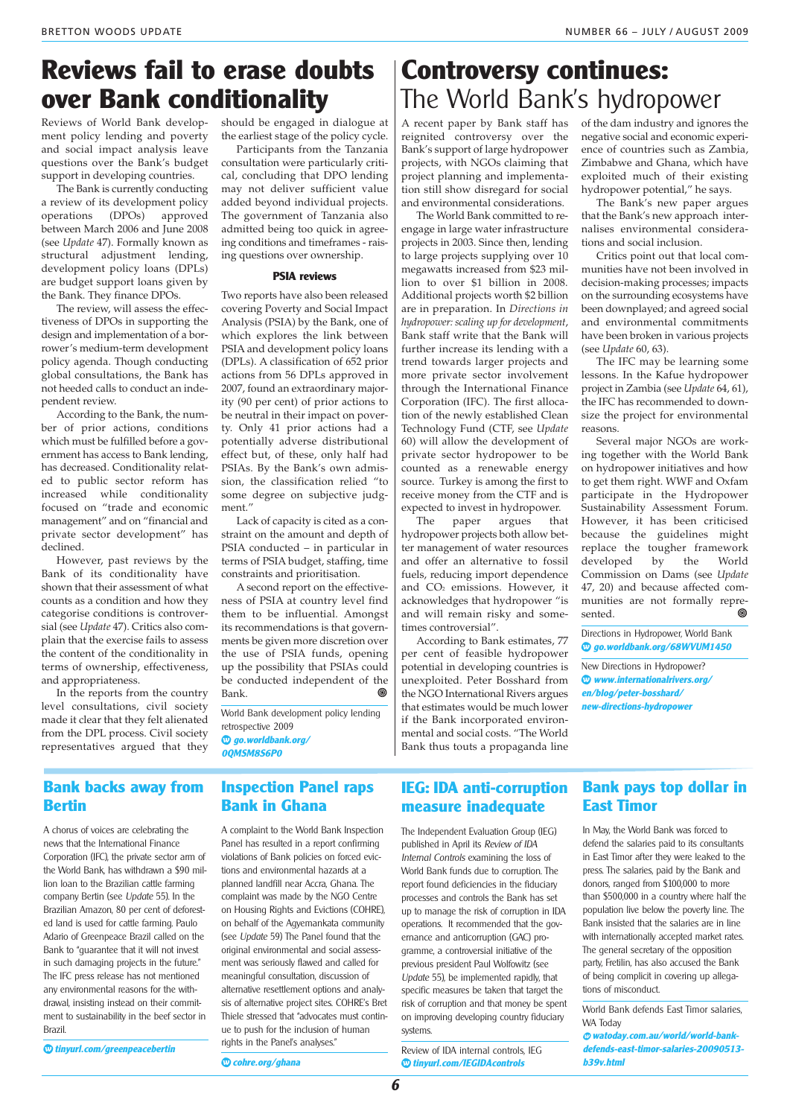## **Reviews fail to erase doubts over Bank conditionality**

Reviews of World Bank development policy lending and poverty and social impact analysis leave questions over the Bank's budget support in developing countries.

The Bank is currently conducting a review of its development policy<br>operations (DPOs) approved operations between March 2006 and June 2008 (see *Update* 47). Formally known as structural adjustment lending, development policy loans (DPLs) are budget support loans given by the Bank. They finance DPOs.

The review, will assess the effectiveness of DPOs in supporting the design and implementation of a borrower's medium-term development policy agenda. Though conducting global consultations, the Bank has not heeded calls to conduct an independent review.

According to the Bank, the number of prior actions, conditions which must be fulfilled before a government has access to Bank lending, has decreased. Conditionality related to public sector reform has increased while conditionality focused on "trade and economic management" and on "financial and private sector development" has declined.

However, past reviews by the Bank of its conditionality have shown that their assessment of what counts as a condition and how they categorise conditions is controversial (see *Update* 47). Critics also complain that the exercise fails to assess the content of the conditionality in terms of ownership, effectiveness, and appropriateness.

In the reports from the country level consultations, civil society made it clear that they felt alienated from the DPL process. Civil society representatives argued that they should be engaged in dialogue at the earliest stage of the policy cycle.

Participants from the Tanzania consultation were particularly critical, concluding that DPO lending may not deliver sufficient value added beyond individual projects. The government of Tanzania also admitted being too quick in agreeing conditions and timeframes - raising questions over ownership.

#### **PSIA reviews**

Two reports have also been released covering Poverty and Social Impact Analysis (PSIA) by the Bank, one of which explores the link between PSIA and development policy loans (DPLs). A classification of 652 prior actions from 56 DPLs approved in 2007, found an extraordinary majority (90 per cent) of prior actions to be neutral in their impact on poverty. Only 41 prior actions had a potentially adverse distributional effect but, of these, only half had PSIAs. By the Bank's own admission, the classification relied "to some degree on subjective judgment<sup>'</sup>

Lack of capacity is cited as a constraint on the amount and depth of PSIA conducted – in particular in terms of PSIA budget, staffing, time constraints and prioritisation.

A second report on the effectiveness of PSIA at country level find them to be influential. Amongst its recommendations is that governments be given more discretion over the use of PSIA funds, opening up the possibility that PSIAs could be conducted independent of the Bank.

World Bank development policy lending retrospective 2009 **◊ go.worldbank.org/**

**0QMSM8S6P0**

## **Controversy continues:** The World Bank's hydropower

A recent paper by Bank staff has reignited controversy over the Bank's support of large hydropower projects, with NGOs claiming that project planning and implementation still show disregard for social and environmental considerations.

The World Bank committed to reengage in large water infrastructure projects in 2003. Since then, lending to large projects supplying over 10 megawatts increased from \$23 million to over \$1 billion in 2008. Additional projects worth \$2 billion are in preparation. In *Directions in hydropower: scaling up for development*, Bank staff write that the Bank will further increase its lending with a trend towards larger projects and more private sector involvement through the International Finance Corporation (IFC). The first allocation of the newly established Clean Technology Fund (CTF, see *Update* 60) will allow the development of private sector hydropower to be counted as a renewable energy source. Turkey is among the first to receive money from the CTF and is expected to invest in hydropower.

The paper argues that hydropower projects both allow better management of water resources and offer an alternative to fossil fuels, reducing import dependence and CO<sub>2</sub> emissions. However, it acknowledges that hydropower "is and will remain risky and sometimes controversial".

According to Bank estimates, 77 per cent of feasible hydropower potential in developing countries is unexploited. Peter Bosshard from the NGO International Rivers argues that estimates would be much lower if the Bank incorporated environmental and social costs. "The World Bank thus touts a propaganda line

of the dam industry and ignores the negative social and economic experience of countries such as Zambia, Zimbabwe and Ghana, which have exploited much of their existing hydropower potential," he says.

The Bank's new paper argues that the Bank's new approach internalises environmental considerations and social inclusion.

Critics point out that local communities have not been involved in decision-making processes; impacts on the surrounding ecosystems have been downplayed; and agreed social and environmental commitments have been broken in various projects (see *Update* 60, 63).

The IFC may be learning some lessons. In the Kafue hydropower project in Zambia (see *Update* 64, 61), the IFC has recommended to downsize the project for environmental reasons.

Several major NGOs are working together with the World Bank on hydropower initiatives and how to get them right. WWF and Oxfam participate in the Hydropower Sustainability Assessment Forum. However, it has been criticised because the guidelines might replace the tougher framework developed by the World Commission on Dams (see *Update* 47, 20) and because affected communities are not formally represented.

Directions in Hydropower, World Bank **◊ go.worldbank.org/68WVUM1450**

New Directions in Hydropower? **◊ www.internationalrivers.org/ en/blog/peter-bosshard/ new-directions-hydropower**

## **Bank backs away from Bertin**

A chorus of voices are celebrating the news that the International Finance Corporation (IFC), the private sector arm of the World Bank, has withdrawn a \$90 million loan to the Brazilian cattle farming company Bertin (see Update 55). In the Brazilian Amazon, 80 per cent of deforested land is used for cattle farming. Paulo Adario of Greenpeace Brazil called on the Bank to "guarantee that it will not invest in such damaging projects in the future." The IFC press release has not mentioned any environmental reasons for the withdrawal, insisting instead on their commitment to sustainability in the beef sector in Brazil.

**◊ tinyurl.com/greenpeacebertin**

## **Inspection Panel raps Bank in Ghana**

A complaint to the World Bank Inspection Panel has resulted in a report confirming violations of Bank policies on forced evictions and environmental hazards at a planned landfill near Accra, Ghana. The complaint was made by the NGO Centre on Housing Rights and Evictions (COHRE), on behalf of the Agyemankata community (see Update 59) The Panel found that the original environmental and social assessment was seriously flawed and called for meaningful consultation, discussion of alternative resettlement options and analysis of alternative project sites. COHRE's Bret Thiele stressed that "advocates must continue to push for the inclusion of human rights in the Panel's analyses."

### **IEG: IDA anti-corruption measure inadequate**

The Independent Evaluation Group (IEG) published in April its Review of IDA Internal Controls examining the loss of World Bank funds due to corruption. The report found deficiencies in the fiduciary processes and controls the Bank has set up to manage the risk of corruption in IDA operations. It recommended that the governance and anticorruption (GAC) programme, a controversial initiative of the previous president Paul Wolfowitz (see Update 55), be implemented rapidly, that specific measures be taken that target the risk of corruption and that money be spent on improving developing country fiduciary systems.

Review of IDA internal controls, IEG **◊ tinyurl.com/IEGIDAcontrols**

## **Bank pays top dollar in East Timor**

In May, the World Bank was forced to defend the salaries paid to its consultants in East Timor after they were leaked to the press. The salaries, paid by the Bank and donors, ranged from \$100,000 to more than \$500,000 in a country where half the population live below the poverty line. The Bank insisted that the salaries are in line with internationally accepted market rates. The general secretary of the opposition party, Fretilin, has also accused the Bank of being complicit in covering up allegations of misconduct.

World Bank defends East Timor salaries, WA Today

**◊ watoday.com.au/world/world-bankdefends-east-timor-salaries-20090513 b39v.html**

**◊ cohre.org/ghana**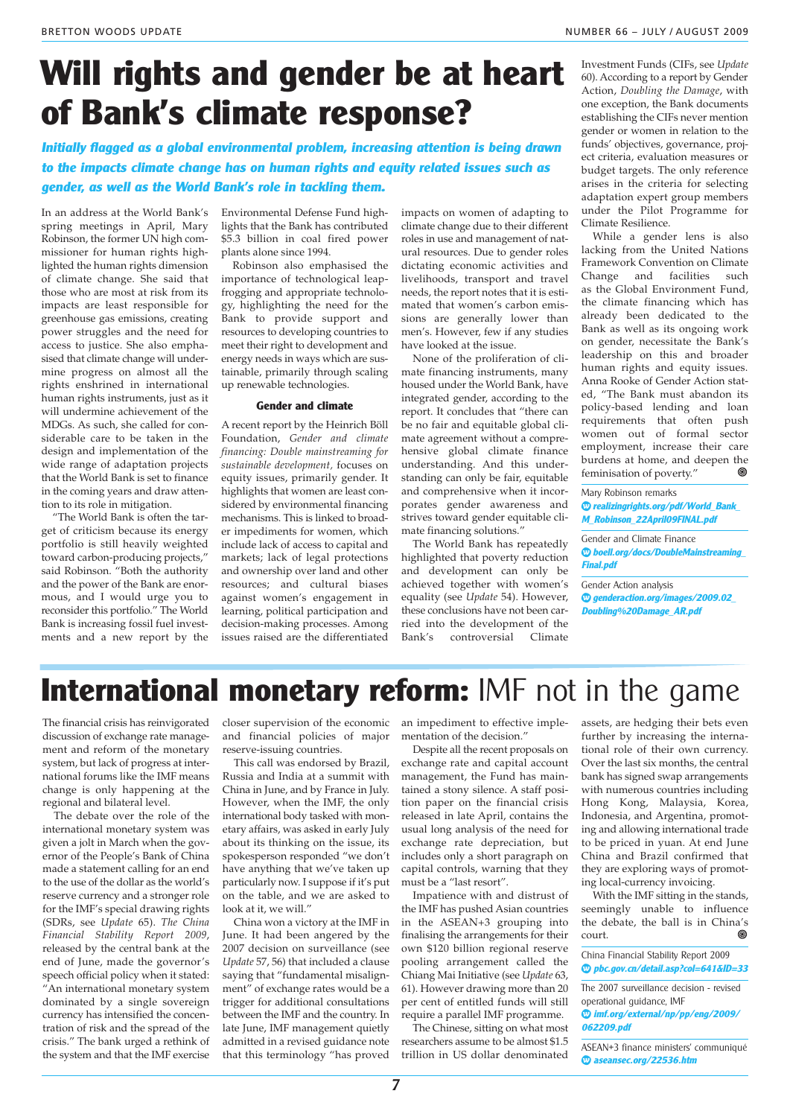# **Will rights and gender be at heart of Bank's climate response?**

**Initially flagged as a global environmental problem, increasing attention is being drawn to the impacts climate change has on human rights and equity related issues such as gender, as well as the World Bank's role in tackling them.**

In an address at the World Bank's spring meetings in April, Mary Robinson, the former UN high commissioner for human rights highlighted the human rights dimension of climate change. She said that those who are most at risk from its impacts are least responsible for greenhouse gas emissions, creating power struggles and the need for access to justice. She also emphasised that climate change will undermine progress on almost all the rights enshrined in international human rights instruments, just as it will undermine achievement of the MDGs. As such, she called for considerable care to be taken in the design and implementation of the wide range of adaptation projects that the World Bank is set to finance in the coming years and draw attention to its role in mitigation.

"The World Bank is often the target of criticism because its energy portfolio is still heavily weighted toward carbon-producing projects," said Robinson. "Both the authority and the power of the Bank are enormous, and I would urge you to reconsider this portfolio." The World Bank is increasing fossil fuel investments and a new report by the Environmental Defense Fund highlights that the Bank has contributed \$5.3 billion in coal fired power plants alone since 1994.

Robinson also emphasised the importance of technological leapfrogging and appropriate technology, highlighting the need for the Bank to provide support and resources to developing countries to meet their right to development and energy needs in ways which are sustainable, primarily through scaling up renewable technologies.

#### **Gender and climate**

A recent report by the Heinrich Böll Foundation, *Gender and climate financing: Double mainstreaming for sustainable development,* focuses on equity issues, primarily gender. It highlights that women are least considered by environmental financing mechanisms. This is linked to broader impediments for women, which include lack of access to capital and markets; lack of legal protections and ownership over land and other resources; and cultural biases against women's engagement in learning, political participation and decision-making processes. Among issues raised are the differentiated

impacts on women of adapting to climate change due to their different roles in use and management of natural resources. Due to gender roles dictating economic activities and livelihoods, transport and travel needs, the report notes that it is estimated that women's carbon emissions are generally lower than men's. However, few if any studies have looked at the issue.

None of the proliferation of climate financing instruments, many housed under the World Bank, have integrated gender, according to the report. It concludes that "there can be no fair and equitable global climate agreement without a comprehensive global climate finance understanding. And this understanding can only be fair, equitable and comprehensive when it incorporates gender awareness and strives toward gender equitable climate financing solutions."

The World Bank has repeatedly highlighted that poverty reduction and development can only be achieved together with women's equality (see *Update* 54). However, these conclusions have not been carried into the development of the Bank's controversial Climate

Investment Funds (CIFs, see *Update* 60). According to a report by Gender Action, *Doubling the Damage*, with one exception, the Bank documents establishing the CIFs never mention gender or women in relation to the funds' objectives, governance, project criteria, evaluation measures or budget targets. The only reference arises in the criteria for selecting adaptation expert group members under the Pilot Programme for Climate Resilience.

While a gender lens is also lacking from the United Nations Framework Convention on Climate Change and facilities such as the Global Environment Fund, the climate financing which has already been dedicated to the Bank as well as its ongoing work on gender, necessitate the Bank's leadership on this and broader human rights and equity issues. Anna Rooke of Gender Action stated, "The Bank must abandon its policy-based lending and loan requirements that often push women out of formal sector employment, increase their care burdens at home, and deepen the<br>feminisation of poverty." feminisation of poverty."

Mary Robinson remarks **◊ realizingrights.org/pdf/World\_Bank\_ M\_Robinson\_22April09FINAL.pdf**

Gender and Climate Finance **◊ boell.org/docs/DoubleMainstreaming\_ Final.pdf**

Gender Action analysis **◊ genderaction.org/images/2009.02\_ Doubling%20Damage\_AR.pdf**

# **International monetary reform:** IMF not in the game

The financial crisis has reinvigorated discussion of exchange rate management and reform of the monetary system, but lack of progress at international forums like the IMF means change is only happening at the regional and bilateral level.

The debate over the role of the international monetary system was given a jolt in March when the governor of the People's Bank of China made a statement calling for an end to the use of the dollar as the world's reserve currency and a stronger role for the IMF's special drawing rights (SDRs, see *Update* 65). *The China Financial Stability Report 2009*, released by the central bank at the end of June, made the governor's speech official policy when it stated: "An international monetary system dominated by a single sovereign currency has intensified the concentration of risk and the spread of the crisis." The bank urged a rethink of the system and that the IMF exercise closer supervision of the economic and financial policies of major reserve-issuing countries.

This call was endorsed by Brazil, Russia and India at a summit with China in June, and by France in July. However, when the IMF, the only international body tasked with monetary affairs, was asked in early July about its thinking on the issue, its spokesperson responded "we don't have anything that we've taken up particularly now. I suppose if it's put on the table, and we are asked to look at it, we will."

China won a victory at the IMF in June. It had been angered by the 2007 decision on surveillance (see *Update* 57, 56) that included a clause saying that "fundamental misalignment" of exchange rates would be a trigger for additional consultations between the IMF and the country. In late June, IMF management quietly admitted in a revised guidance note that this terminology "has proved an impediment to effective implementation of the decision."

Despite all the recent proposals on exchange rate and capital account management, the Fund has maintained a stony silence. A staff position paper on the financial crisis released in late April, contains the usual long analysis of the need for exchange rate depreciation, but includes only a short paragraph on capital controls, warning that they must be a "last resort".

Impatience with and distrust of the IMF has pushed Asian countries in the ASEAN+3 grouping into finalising the arrangements for their own \$120 billion regional reserve pooling arrangement called the Chiang Mai Initiative (see *Update* 63, 61). However drawing more than 20 per cent of entitled funds will still require a parallel IMF programme.

The Chinese, sitting on what most researchers assume to be almost \$1.5 trillion in US dollar denominated

assets, are hedging their bets even further by increasing the international role of their own currency. Over the last six months, the central bank has signed swap arrangements with numerous countries including Hong Kong, Malaysia, Korea, Indonesia, and Argentina, promoting and allowing international trade to be priced in yuan. At end June China and Brazil confirmed that they are exploring ways of promoting local-currency invoicing.

With the IMF sitting in the stands, seemingly unable to influence the debate, the ball is in China's court.

China Financial Stability Report 2009 **◊ pbc.gov.cn/detail.asp?col=641&ID=33**

The 2007 surveillance decision - revised operational guidance, IMF **◊ imf.org/external/np/pp/eng/2009/**

**062209.pdf**

ASEAN+3 finance ministers' communiqué **◊ aseansec.org/22536.htm**